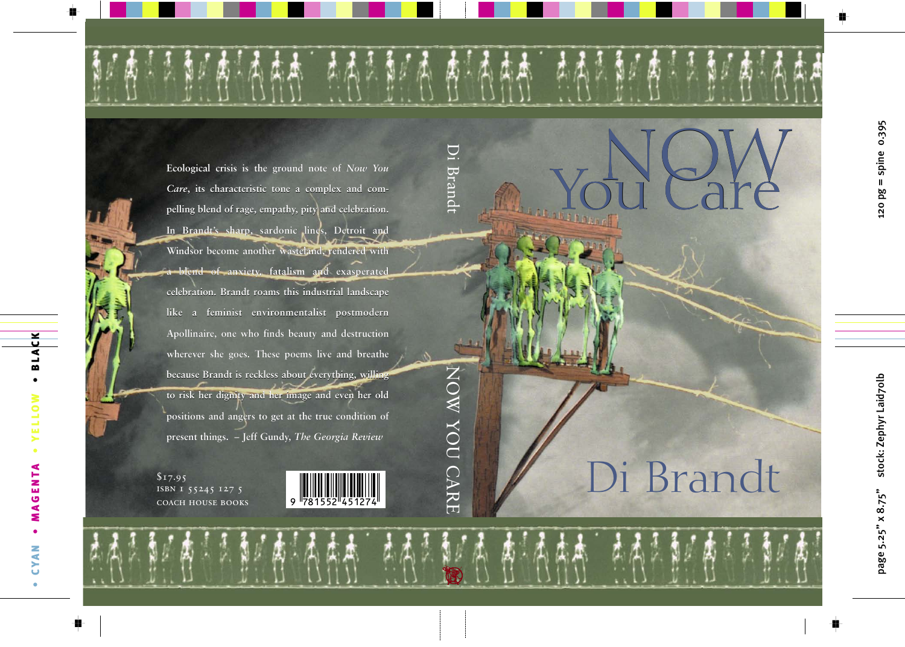# Di Brandt

**the Mouldare** 

You Care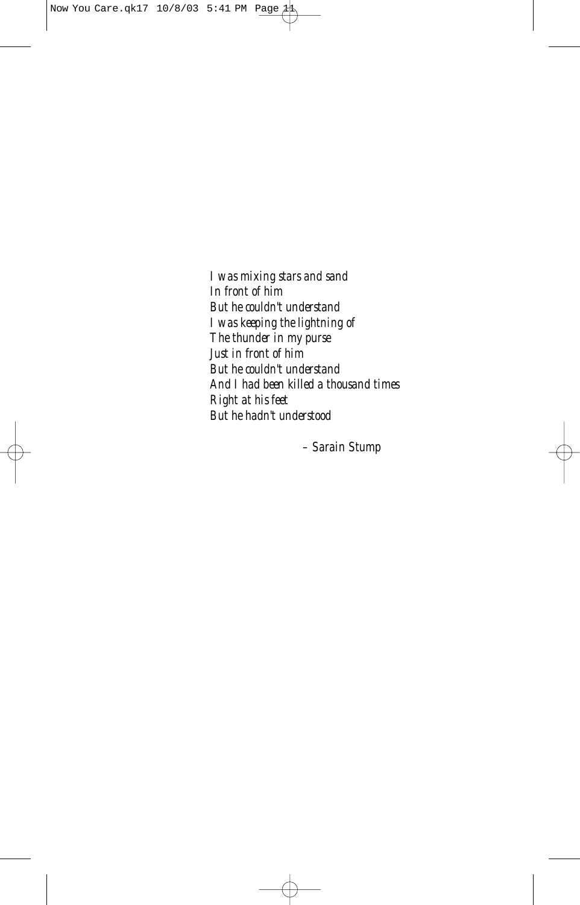*I was mixing stars and sand In front of him But he couldn't understand I was keeping the lightning of The thunder in my purse Just in front of him But he couldn't understand And I had been killed a thousand times Right at his feet But he hadn't understood*

*– Sarain Stump*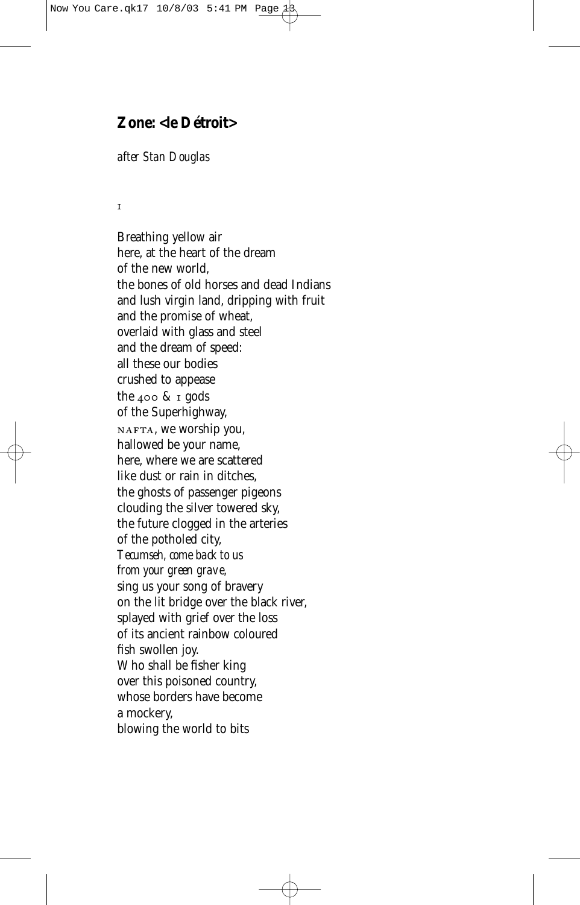## **Zone: <le Détroit>**

#### *after Stan Douglas*

#### $\mathbf{I}$

Breathing yellow air here, at the heart of the dream of the new world, the bones of old horses and dead Indians and lush virgin land, dripping with fruit and the promise of wheat, overlaid with glass and steel and the dream of speed: all these our bodies crushed to appease the  $400 \& x$  gods of the Superhighway, NAFTA, we worship you, hallowed be your name, here, where we are scattered like dust or rain in ditches, the ghosts of passenger pigeons clouding the silver towered sky, the future clogged in the arteries of the potholed city, *Tecumseh, come back to us from your green grave,* sing us your song of bravery on the lit bridge over the black river, splayed with grief over the loss of its ancient rainbow coloured fish swollen joy. Who shall be fisher king over this poisoned country, whose borders have become a mockery, blowing the world to bits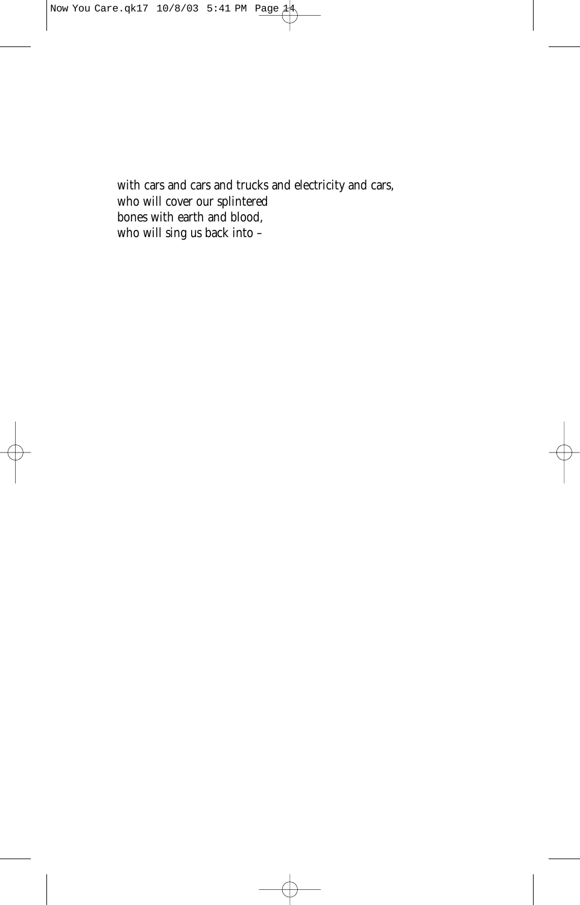with cars and cars and trucks and electricity and cars, who will cover our splintered bones with earth and blood, who will sing us back into –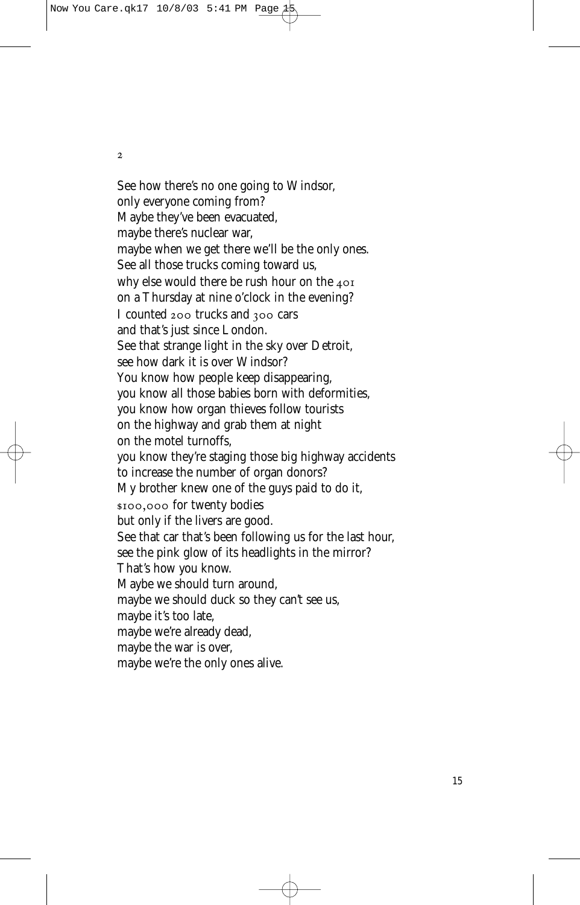$\overline{2}$ 

See how there's no one going to Windsor, only everyone coming from? Maybe they've been evacuated, maybe there's nuclear war, maybe when we get there we'll be the only ones. See all those trucks coming toward us, why else would there be rush hour on the 401 on a Thursday at nine o'clock in the evening? I counted  $200$  trucks and  $300$  cars and that's just since London. See that strange light in the sky over Detroit, see how dark it is over Windsor? You know how people keep disappearing, you know all those babies born with deformities, you know how organ thieves follow tourists on the highway and grab them at night on the motel turnoffs, you know they're staging those big highway accidents to increase the number of organ donors? My brother knew one of the guys paid to do it, \$100,000 for twenty bodies but only if the livers are good. See that car that's been following us for the last hour, see the pink glow of its headlights in the mirror? That's how you know. Maybe we should turn around, maybe we should duck so they can't see us, maybe it's too late, maybe we're already dead, maybe the war is over, maybe we're the only ones alive.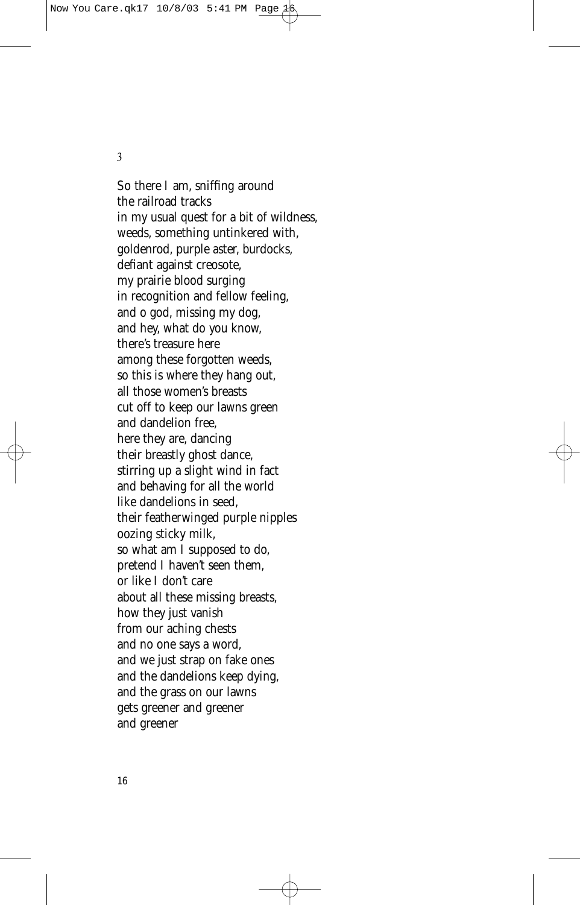$\overline{\mathbf{3}}$ 

So there I am, sniffing around the railroad tracks in my usual quest for a bit of wildness, weeds, something untinkered with, goldenrod, purple aster, burdocks, defiant against creosote, my prairie blood surging in recognition and fellow feeling, and o god, missing my dog, and hey, what do you know, there's treasure here among these forgotten weeds, so this is where they hang out, all those women's breasts cut off to keep our lawns green and dandelion free, here they are, dancing their breastly ghost dance, stirring up a slight wind in fact and behaving for all the world like dandelions in seed, their featherwinged purple nipples oozing sticky milk, so what am I supposed to do, pretend I haven't seen them, or like I don't care about all these missing breasts, how they just vanish from our aching chests and no one says a word, and we just strap on fake ones and the dandelions keep dying, and the grass on our lawns gets greener and greener and greener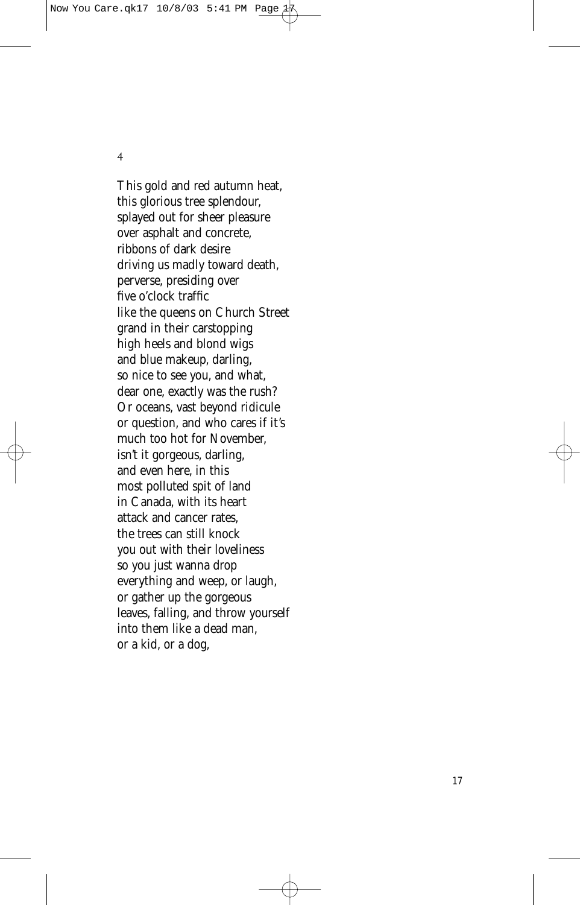$\overline{4}$ 

This gold and red autumn heat, this glorious tree splendour, splayed out for sheer pleasure over asphalt and concrete, ribbons of dark desire driving us madly toward death, perverse, presiding over five o'clock traffic like the queens on Church Street grand in their carstopping high heels and blond wigs and blue makeup, darling, so nice to see you, and what, dear one, exactly was the rush? Or oceans, vast beyond ridicule or question, and who cares if it's much too hot for November, isn't it gorgeous, darling, and even here, in this most polluted spit of land in Canada, with its heart attack and cancer rates, the trees can still knock you out with their loveliness so you just wanna drop everything and weep, or laugh, or gather up the gorgeous leaves, falling, and throw yourself into them like a dead man, or a kid, or a dog,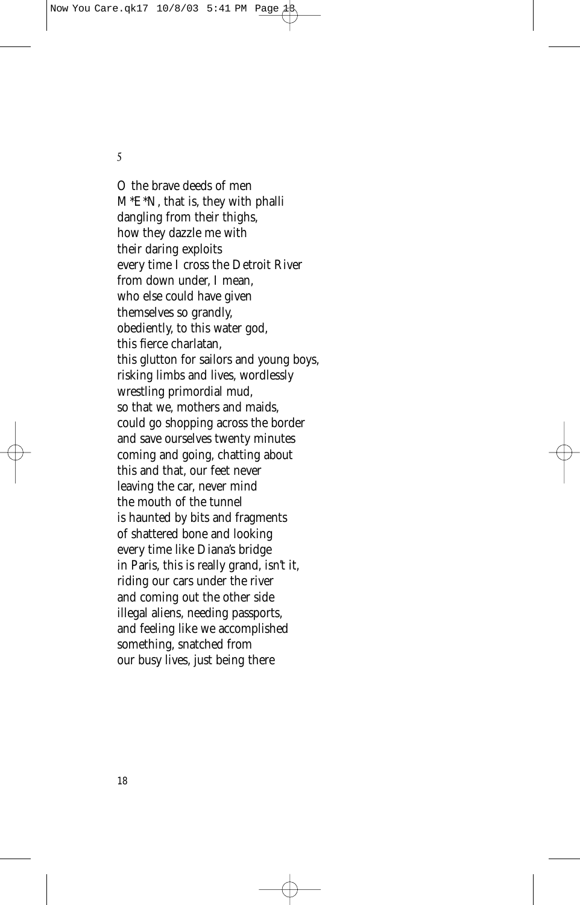$\overline{5}$ 

O the brave deeds of men M\*E\*N, that is, they with phalli dangling from their thighs, how they dazzle me with their daring exploits every time I cross the Detroit River from down under, I mean, who else could have given themselves so grandly, obediently, to this water god, this fierce charlatan, this glutton for sailors and young boys, risking limbs and lives, wordlessly wrestling primordial mud, so that we, mothers and maids, could go shopping across the border and save ourselves twenty minutes coming and going, chatting about this and that, our feet never leaving the car, never mind the mouth of the tunnel is haunted by bits and fragments of shattered bone and looking every time like Diana's bridge in Paris, this is really grand, isn't it, riding our cars under the river and coming out the other side illegal aliens, needing passports, and feeling like we accomplished something, snatched from our busy lives, just being there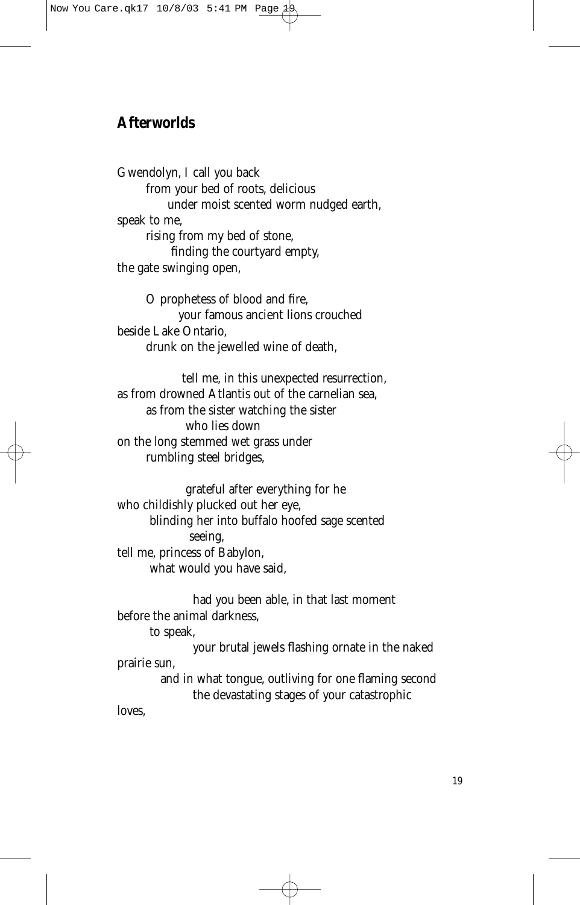# **Afterworlds**

Gwendolyn, I call you back from your bed of roots, delicious under moist scented worm nudged earth, speak to me, rising from my bed of stone, finding the courtyard empty, the gate swinging open,

O prophetess of blood and fire, your famous ancient lions crouched beside Lake Ontario, drunk on the jewelled wine of death,

tell me, in this unexpected resurrection, as from drowned Atlantis out of the carnelian sea, as from the sister watching the sister who lies down on the long stemmed wet grass under rumbling steel bridges,

grateful after everything for he who childishly plucked out her eye, blinding her into buffalo hoofed sage scented seeing, tell me, princess of Babylon, what would you have said,

had you been able, in that last moment before the animal darkness,

to speak,

your brutal jewels flashing ornate in the naked prairie sun,

and in what tongue, outliving for one flaming second the devastating stages of your catastrophic

loves,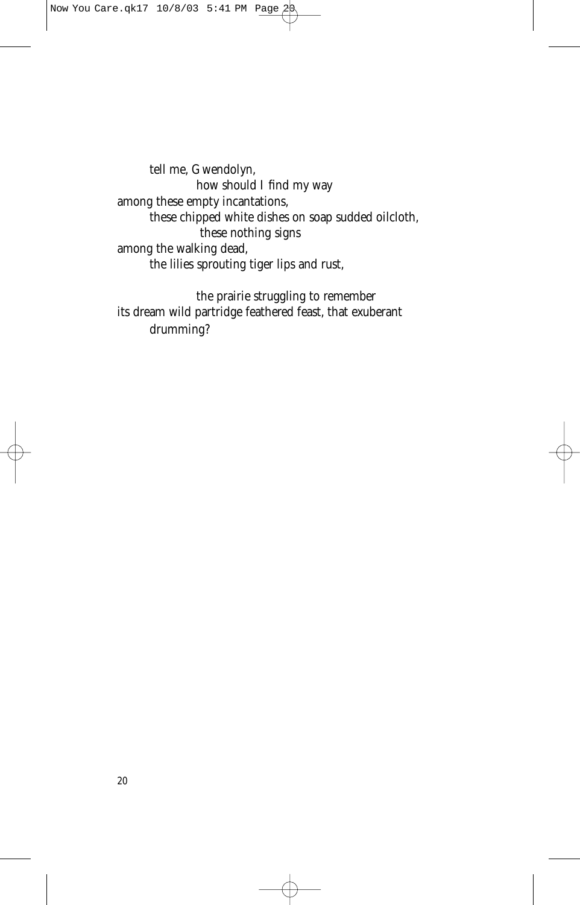tell me, Gwendolyn, how should I find my way among these empty incantations, these chipped white dishes on soap sudded oilcloth, these nothing signs among the walking dead, the lilies sprouting tiger lips and rust,

the prairie struggling to remember its dream wild partridge feathered feast, that exuberant drumming?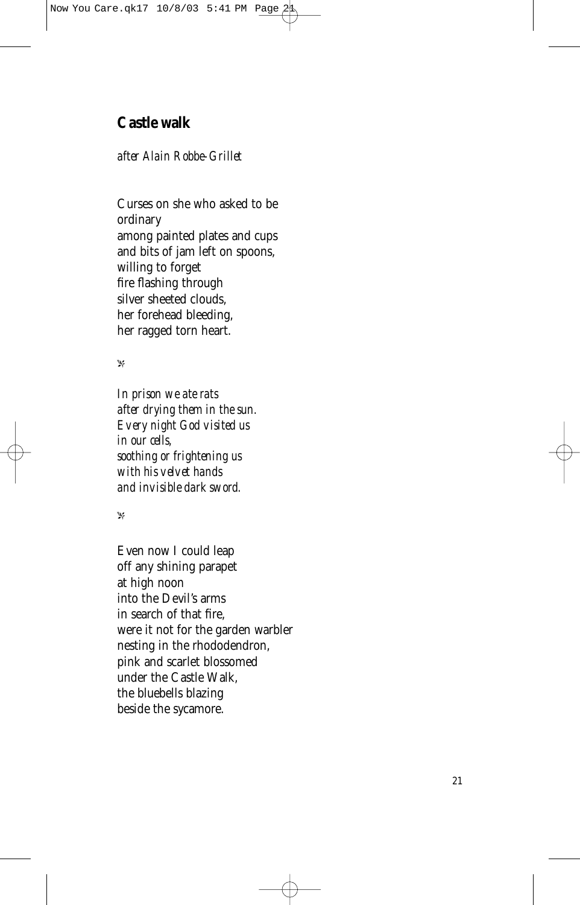# **Castle walk**

### *after Alain Robbe-Grillet*

Curses on she who asked to be ordinary among painted plates and cups and bits of jam left on spoons, willing to forget fire flashing through silver sheeted clouds, her forehead bleeding, her ragged torn heart.

#### $\mathbf{p}^{\prime}$

*In prison we ate rats after drying them in the sun. Every night God visited us in our cells, soothing or frightening us with his velvet hands and invisible dark sword.*

-

Even now I could leap off any shining parapet at high noon into the Devil's arms in search of that fire, were it not for the garden warbler nesting in the rhododendron, pink and scarlet blossomed under the Castle Walk, the bluebells blazing beside the sycamore.